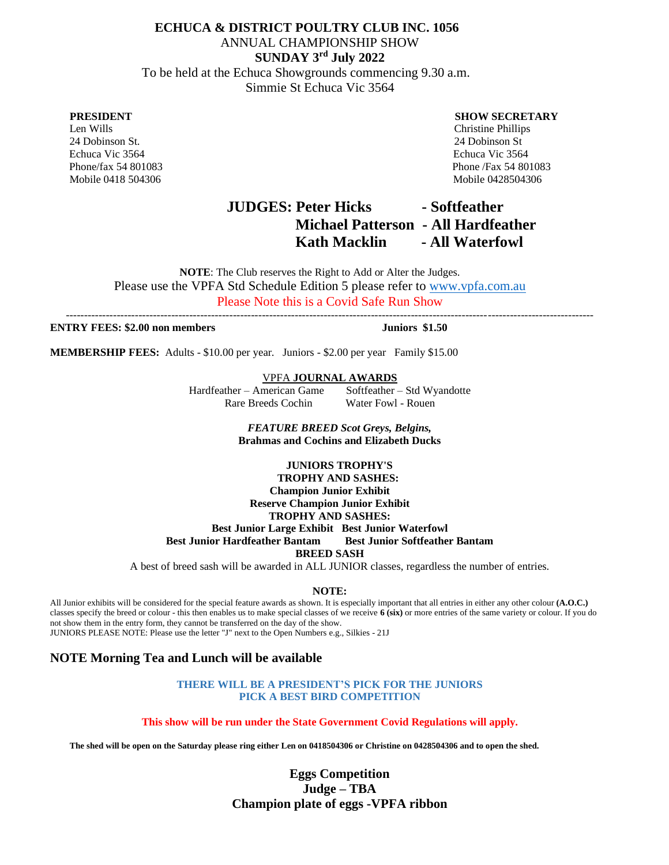# **ECHUCA & DISTRICT POULTRY CLUB INC. 1056** ANNUAL CHAMPIONSHIP SHOW **SUNDAY 3 rd July 2022**

 To be held at the Echuca Showgrounds commencing 9.30 a.m. Simmie St Echuca Vic 3564

 24 Dobinson St. 24 Dobinson St Echuca Vic 3564 Echuca Vic 3564 Mobile 0418 504306 Mobile 0428504306

### **PRESIDENT SHOW SECRETARY**

 Len Wills Christine Phillips Phone/fax 54 801083 Phone /Fax 54 801083

# **JUDGES: Peter Hicks - Softfeather Michael Patterson - All Hardfeather Kath Macklin - All Waterfowl**

**NOTE**: The Club reserves the Right to Add or Alter the Judges. Please use the VPFA Std Schedule Edition 5 please refer to [www.vpfa.com.au](http://www.vpfa.com.au/) Please Note this is a Covid Safe Run Show

-------------------------------------------------------------------------------------------------------------------------------------------------

### **ENTRY FEES: \$2.00 non members Juniors \$1.50**

**MEMBERSHIP FEES:** Adults - \$10.00 per year. Juniors - \$2.00 per year Family \$15.00

VPFA **JOURNAL AWARDS** 

Hardfeather – American Game Softfeather – Std Wyandotte **Rare Breeds Cochin** 

> *FEATURE BREED Scot Greys, Belgins,*  **Brahmas and Cochins and Elizabeth Ducks**

### **JUNIORS TROPHY'S**

 **TROPHY AND SASHES: Champion Junior Exhibit Reserve Champion Junior Exhibit**

**TROPHY AND SASHES:**

**Best Junior Large Exhibit Best Junior Waterfowl Best Junior Hardfeather Bantam Best Junior Softfeather Bantam BREED SASH**

A best of breed sash will be awarded in ALL JUNIOR classes, regardless the number of entries.

### **NOTE:**

All Junior exhibits will be considered for the special feature awards as shown. It is especially important that all entries in either any other colour **(A.O.C.)**  classes specify the breed or colour - this then enables us to make special classes of we receive **6 (six)** or more entries of the same variety or colour. If you do not show them in the entry form, they cannot be transferred on the day of the show. JUNIORS PLEASE NOTE: Please use the letter "J" next to the Open Numbers e.g., Silkies - 21J

### **NOTE Morning Tea and Lunch will be available**

**THERE WILL BE A PRESIDENT'S PICK FOR THE JUNIORS PICK A BEST BIRD COMPETITION** 

**This show will be run under the State Government Covid Regulations will apply.**

**The shed will be open on the Saturday please ring either Len on 0418504306 or Christine on 0428504306 and to open the shed.**

**Eggs Competition Judge – TBA Champion plate of eggs -VPFA ribbon**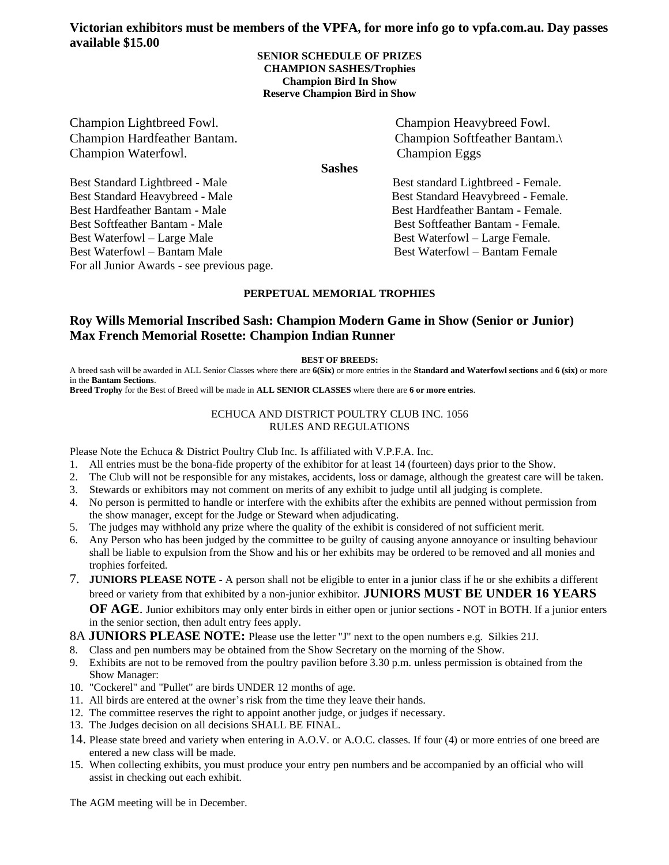## **Victorian exhibitors must be members of the VPFA, for more info go to vpfa.com.au. Day passes available \$15.00**

### **SENIOR SCHEDULE OF PRIZES CHAMPION SASHES/Trophies Champion Bird In Show Reserve Champion Bird in Show**

Champion Lightbreed Fowl. Champion Heavybreed Fowl. Champion Waterfowl. Champion Eggs

Champion Hardfeather Bantam. Champion Softfeather Bantam.\

**Sashes**

Best Standard Lightbreed - Male Best standard Lightbreed - Female. Best Waterfowl – Bantam Male Best Waterfowl – Bantam Female

Best Standard Heavybreed - Male Best Standard Heavybreed - Female. Best Hardfeather Bantam - Male Best Hardfeather Bantam - Female. Best Softfeather Bantam - Male Best Softfeather Bantam - Female. Best Waterfowl – Large Male Best Waterfowl – Large Female.

For all Junior Awards - see previous page.

### **PERPETUAL MEMORIAL TROPHIES**

# **Roy Wills Memorial Inscribed Sash: Champion Modern Game in Show (Senior or Junior) Max French Memorial Rosette: Champion Indian Runner**

### **BEST OF BREEDS:**

A breed sash will be awarded in ALL Senior Classes where there are **6(Six)** or more entries in the **Standard and Waterfowl sections** and **6 (six)** or more in the **Bantam Sections**.

**Breed Trophy** for the Best of Breed will be made in **ALL SENIOR CLASSES** where there are **6 or more entries**.

### ECHUCA AND DISTRICT POULTRY CLUB INC. 1056 RULES AND REGULATIONS

Please Note the Echuca & District Poultry Club Inc. Is affiliated with V.P.F.A. Inc.

- 1. All entries must be the bona-fide property of the exhibitor for at least 14 (fourteen) days prior to the Show.
- 2. The Club will not be responsible for any mistakes, accidents, loss or damage, although the greatest care will be taken.
- 3. Stewards or exhibitors may not comment on merits of any exhibit to judge until all judging is complete.
- 4. No person is permitted to handle or interfere with the exhibits after the exhibits are penned without permission from the show manager, except for the Judge or Steward when adjudicating.
- The judges may withhold any prize where the quality of the exhibit is considered of not sufficient merit.
- 6. Any Person who has been judged by the committee to be guilty of causing anyone annoyance or insulting behaviour shall be liable to expulsion from the Show and his or her exhibits may be ordered to be removed and all monies and trophies forfeited.
- 7. **JUNIORS PLEASE NOTE** A person shall not be eligible to enter in a junior class if he or she exhibits a different breed or variety from that exhibited by a non-junior exhibitor. **JUNIORS MUST BE UNDER 16 YEARS OF AGE**. Junior exhibitors may only enter birds in either open or junior sections - NOT in BOTH. If a junior enters in the senior section, then adult entry fees apply.

8A **JUNIORS PLEASE NOTE:** Please use the letter "J" next to the open numbers e.g. Silkies 21J.

- 8. Class and pen numbers may be obtained from the Show Secretary on the morning of the Show.
- 9. Exhibits are not to be removed from the poultry pavilion before 3.30 p.m. unless permission is obtained from the Show Manager:
- 10. "Cockerel" and "Pullet" are birds UNDER 12 months of age.
- 11. All birds are entered at the owner's risk from the time they leave their hands.
- 12. The committee reserves the right to appoint another judge, or judges if necessary.
- 13. The Judges decision on all decisions SHALL BE FINAL.
- 14. Please state breed and variety when entering in A.O.V. or A.O.C. classes. If four (4) or more entries of one breed are entered a new class will be made.
- 15. When collecting exhibits, you must produce your entry pen numbers and be accompanied by an official who will assist in checking out each exhibit.

The AGM meeting will be in December.